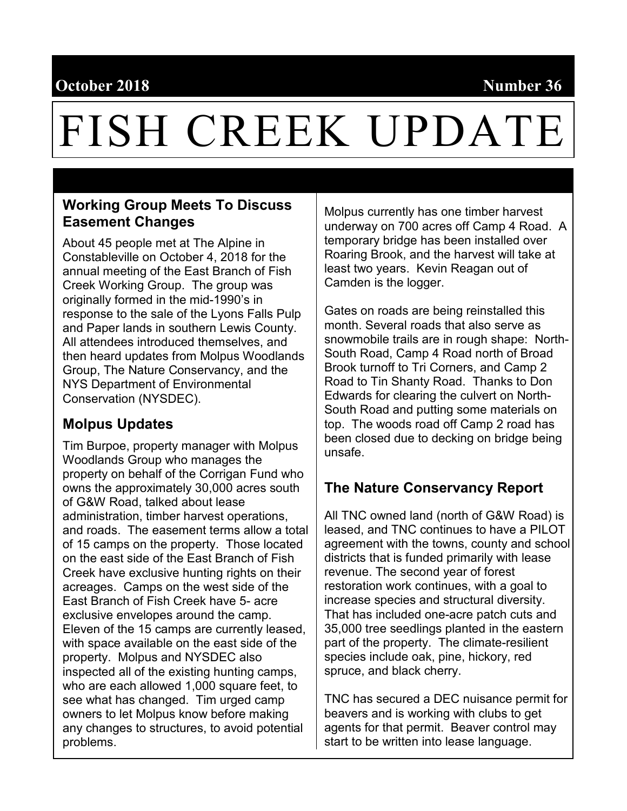# **October 2018** Number 36

# FISH CREEK UPDATE

## **Working Group Meets To Discuss Easement Changes**

About 45 people met at The Alpine in Constableville on October 4, 2018 for the annual meeting of the East Branch of Fish Creek Working Group. The group was originally formed in the mid-1990's in response to the sale of the Lyons Falls Pulp and Paper lands in southern Lewis County. All attendees introduced themselves, and then heard updates from Molpus Woodlands Group, The Nature Conservancy, and the NYS Department of Environmental Conservation (NYSDEC).

# **Molpus Updates**

Tim Burpoe, property manager with Molpus Woodlands Group who manages the property on behalf of the Corrigan Fund who owns the approximately 30,000 acres south of G&W Road, talked about lease administration, timber harvest operations, and roads. The easement terms allow a total of 15 camps on the property. Those located on the east side of the East Branch of Fish Creek have exclusive hunting rights on their acreages. Camps on the west side of the East Branch of Fish Creek have 5- acre exclusive envelopes around the camp. Eleven of the 15 camps are currently leased, with space available on the east side of the property. Molpus and NYSDEC also inspected all of the existing hunting camps, who are each allowed 1,000 square feet, to see what has changed. Tim urged camp owners to let Molpus know before making any changes to structures, to avoid potential problems.

Molpus currently has one timber harvest underway on 700 acres off Camp 4 Road. A temporary bridge has been installed over Roaring Brook, and the harvest will take at least two years. Kevin Reagan out of Camden is the logger.

Gates on roads are being reinstalled this month. Several roads that also serve as snowmobile trails are in rough shape: North-South Road, Camp 4 Road north of Broad Brook turnoff to Tri Corners, and Camp 2 Road to Tin Shanty Road. Thanks to Don Edwards for clearing the culvert on North-South Road and putting some materials on top. The woods road off Camp 2 road has been closed due to decking on bridge being unsafe.

## **The Nature Conservancy Report**

All TNC owned land (north of G&W Road) is leased, and TNC continues to have a PILOT agreement with the towns, county and school districts that is funded primarily with lease revenue. The second year of forest restoration work continues, with a goal to increase species and structural diversity. That has included one-acre patch cuts and 35,000 tree seedlings planted in the eastern part of the property. The climate-resilient species include oak, pine, hickory, red spruce, and black cherry.

TNC has secured a DEC nuisance permit for beavers and is working with clubs to get agents for that permit. Beaver control may start to be written into lease language.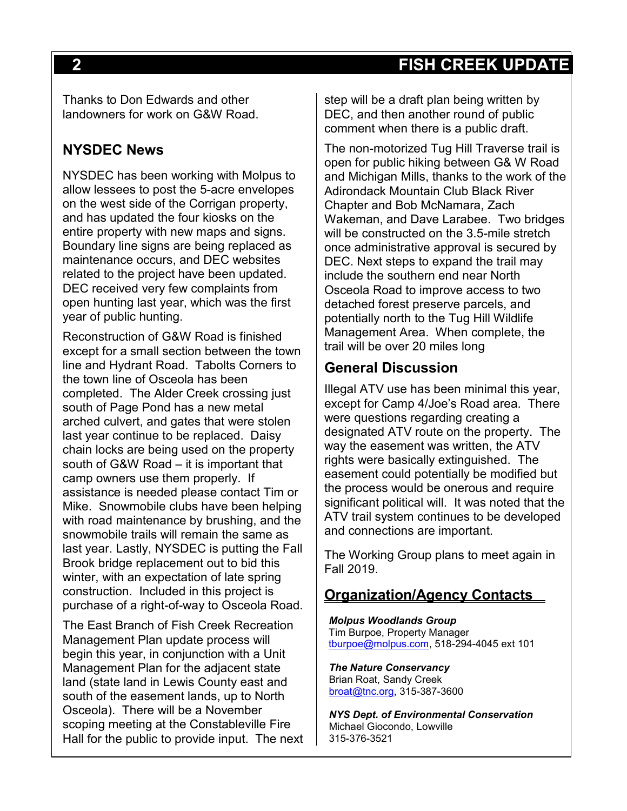# **2 FISH CREEK UPDATE**

Thanks to Don Edwards and other landowners for work on G&W Road.

## **NYSDEC News**

NYSDEC has been working with Molpus to allow lessees to post the 5-acre envelopes on the west side of the Corrigan property, and has updated the four kiosks on the entire property with new maps and signs. Boundary line signs are being replaced as maintenance occurs, and DEC websites related to the project have been updated. DEC received very few complaints from open hunting last year, which was the first year of public hunting.

Reconstruction of G&W Road is finished except for a small section between the town line and Hydrant Road. Tabolts Corners to the town line of Osceola has been completed. The Alder Creek crossing just south of Page Pond has a new metal arched culvert, and gates that were stolen last year continue to be replaced. Daisy chain locks are being used on the property south of G&W Road – it is important that camp owners use them properly. If assistance is needed please contact Tim or Mike. Snowmobile clubs have been helping with road maintenance by brushing, and the snowmobile trails will remain the same as last year. Lastly, NYSDEC is putting the Fall Brook bridge replacement out to bid this winter, with an expectation of late spring construction. Included in this project is purchase of a right-of-way to Osceola Road.

The East Branch of Fish Creek Recreation Management Plan update process will begin this year, in conjunction with a Unit Management Plan for the adjacent state land (state land in Lewis County east and south of the easement lands, up to North Osceola). There will be a November scoping meeting at the Constableville Fire Hall for the public to provide input. The next

step will be a draft plan being written by DEC, and then another round of public comment when there is a public draft.

The non-motorized Tug Hill Traverse trail is open for public hiking between G& W Road and Michigan Mills, thanks to the work of the Adirondack Mountain Club Black River Chapter and Bob McNamara, Zach Wakeman, and Dave Larabee. Two bridges will be constructed on the 3.5-mile stretch once administrative approval is secured by DEC. Next steps to expand the trail may include the southern end near North Osceola Road to improve access to two detached forest preserve parcels, and potentially north to the Tug Hill Wildlife Management Area. When complete, the trail will be over 20 miles long

#### **General Discussion**

Illegal ATV use has been minimal this year, except for Camp 4/Joe's Road area. There were questions regarding creating a designated ATV route on the property. The way the easement was written, the ATV rights were basically extinguished. The easement could potentially be modified but the process would be onerous and require significant political will. It was noted that the ATV trail system continues to be developed and connections are important.

The Working Group plans to meet again in Fall 2019.

## **Organization/Agency Contacts**

*Molpus Woodlands Group* Tim Burpoe, Property Manager [tburpoe@molpus.com,](mailto:tburpoe@molpus.com) 518-294-4045 ext 101

*The Nature Conservancy* Brian Roat, Sandy Creek [broat@tnc.org,](mailto:broat@tnc.org) 315-387-3600

*NYS Dept. of Environmental Conservation* Michael Giocondo, Lowville 315-376-3521